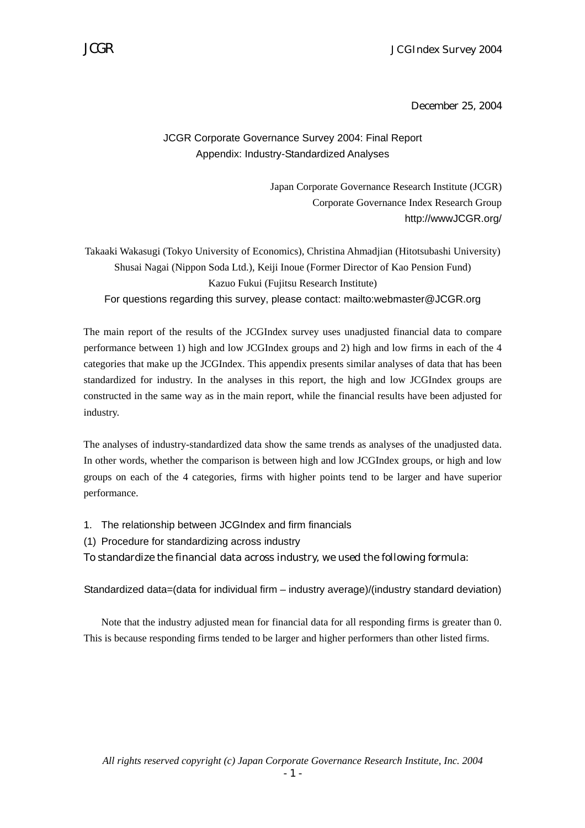December 25, 2004

### JCGR Corporate Governance Survey 2004: Final Report Appendix: Industry-Standardized Analyses

Japan Corporate Governance Research Institute (JCGR) Corporate Governance Index Research Group http://wwwJCGR.org/

Takaaki Wakasugi (Tokyo University of Economics), Christina Ahmadjian (Hitotsubashi University) Shusai Nagai (Nippon Soda Ltd.), Keiji Inoue (Former Director of Kao Pension Fund) Kazuo Fukui (Fujitsu Research Institute) For questions regarding this survey, please contact: mailto:webmaster@JCGR.org

The main report of the results of the JCGIndex survey uses unadjusted financial data to compare performance between 1) high and low JCGIndex groups and 2) high and low firms in each of the 4 categories that make up the JCGIndex. This appendix presents similar analyses of data that has been standardized for industry. In the analyses in this report, the high and low JCGIndex groups are constructed in the same way as in the main report, while the financial results have been adjusted for industry.

The analyses of industry-standardized data show the same trends as analyses of the unadjusted data. In other words, whether the comparison is between high and low JCGIndex groups, or high and low groups on each of the 4 categories, firms with higher points tend to be larger and have superior performance.

- 1. The relationship between JCGIndex and firm financials
- (1) Procedure for standardizing across industry

To standardize the financial data across industry, we used the following formula:

Standardized data=(data for individual firm – industry average)/(industry standard deviation)

Note that the industry adjusted mean for financial data for all responding firms is greater than 0. This is because responding firms tended to be larger and higher performers than other listed firms.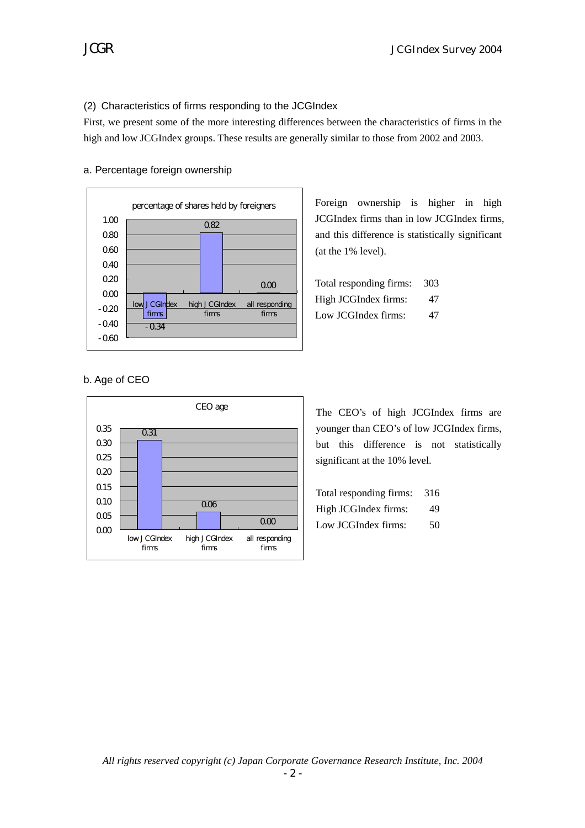#### (2) Characteristics of firms responding to the JCGIndex

First, we present some of the more interesting differences between the characteristics of firms in the high and low JCGIndex groups. These results are generally similar to those from 2002 and 2003.



#### a. Percentage foreign ownership

Foreign ownership is higher in high JCGIndex firms than in low JCGIndex firms, and this difference is statistically significant (at the 1% level).

Total responding firms: 303 High JCGIndex firms: 47 Low JCGIndex firms: 47

#### b. Age of CEO



The CEO's of high JCGIndex firms are younger than CEO's of low JCGIndex firms, but this difference is not statistically significant at the 10% level.

| Total responding firms: | 316 |
|-------------------------|-----|
| High JCGIndex firms:    | 49  |
| Low JCGIndex firms:     | 50  |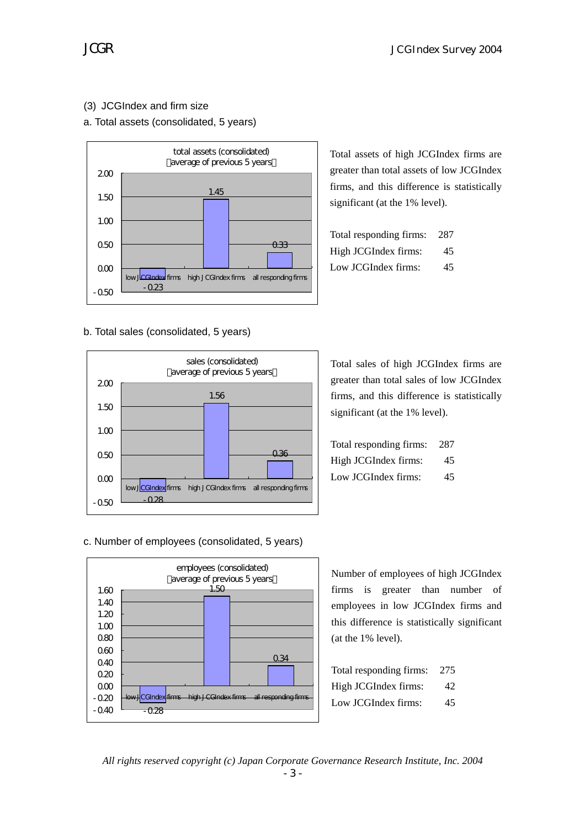# (3) JCGIndex and firm size

### a. Total assets (consolidated, 5 years)



b. Total sales (consolidated, 5 years)



Total assets of high JCGIndex firms are greater than total assets of low JCGIndex firms, and this difference is statistically significant (at the 1% level).

| Total responding firms: | 287 |
|-------------------------|-----|
| High JCGIndex firms:    | 45. |
| Low JCGIndex firms:     | 45  |

Total sales of high JCGIndex firms are greater than total sales of low JCGIndex firms, and this difference is statistically significant (at the 1% level).

| Total responding firms: | 287 |
|-------------------------|-----|
| High JCGIndex firms:    | 45. |
| Low JCGIndex firms:     | 45  |

c. Number of employees (consolidated, 5 years)



Number of employees of high JCGIndex firms is greater than number of employees in low JCGIndex firms and this difference is statistically significant (at the 1% level).

| Total responding firms: | 275 |
|-------------------------|-----|
| High JCGIndex firms:    | 42  |
| Low JCGIndex firms:     | 45  |

*All rights reserved copyright (c) Japan Corporate Governance Research Institute, Inc. 2004*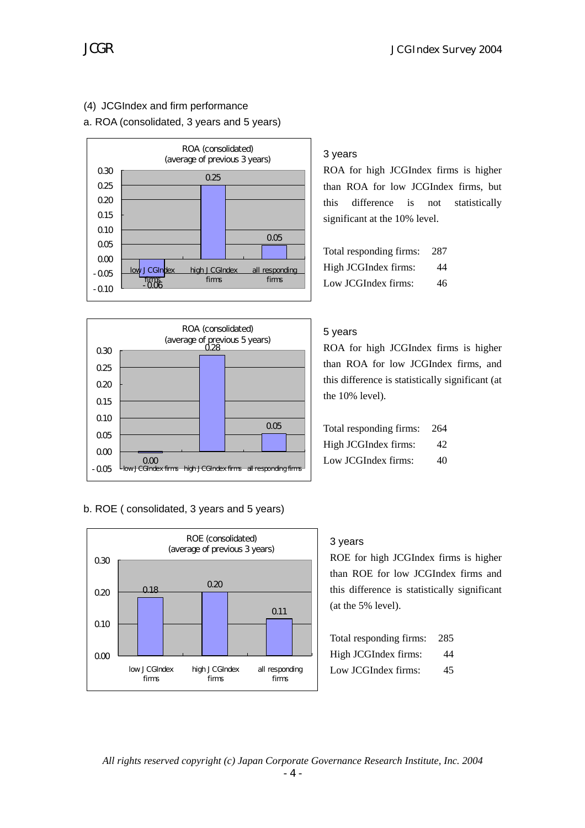# (4) JCGIndex and firm performance

#### a. ROA (consolidated, 3 years and 5 years)





#### b. ROE ( consolidated, 3 years and 5 years)



#### 3 years

ROA for high JCGIndex firms is higher than ROA for low JCGIndex firms, but this difference is not statistically significant at the 10% level.

Total responding firms: 287 High JCGIndex firms: 44 Low JCGIndex firms: 46

#### 5 years

ROA for high JCGIndex firms is higher than ROA for low JCGIndex firms, and this difference is statistically significant (at the 10% level).

| Total responding firms: | 264 |
|-------------------------|-----|
| High JCGIndex firms:    | 42  |
| Low JCGIndex firms:     | 40  |

#### 3 years

ROE for high JCGIndex firms is higher than ROE for low JCGIndex firms and this difference is statistically significant (at the 5% level).

| Total responding firms: | 285 |
|-------------------------|-----|
| High JCGIndex firms:    | 44  |
| Low JCGIndex firms:     | 45  |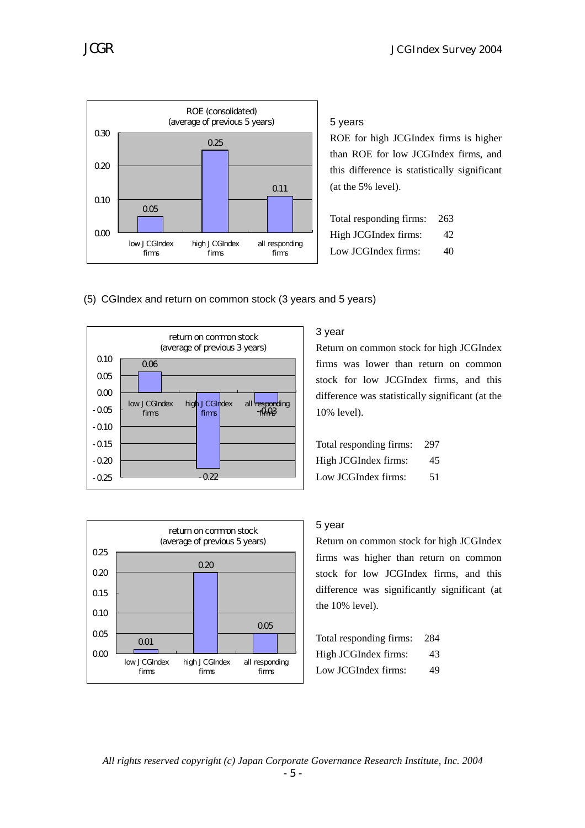

5 years

ROE for high JCGIndex firms is higher than ROE for low JCGIndex firms, and this difference is statistically significant (at the 5% level).

| Total responding firms: | 263 |
|-------------------------|-----|
| High JCGIndex firms:    | 42  |
| Low JCGIndex firms:     | 40  |

### (5) CGIndex and return on common stock (3 years and 5 years)





# 3 year

Return on common stock for high JCGIndex firms was lower than return on common stock for low JCGIndex firms, and this difference was statistically significant (at the 10% level).

| Total responding firms: | 297 |
|-------------------------|-----|
| High JCGIndex firms:    | 45  |
| Low JCGIndex firms:     | 51  |

### 5 year

Return on common stock for high JCGIndex firms was higher than return on common stock for low JCGIndex firms, and this difference was significantly significant (at the 10% level).

| Total responding firms: | 284 |
|-------------------------|-----|
| High JCGIndex firms:    | 43  |
| Low JCGIndex firms:     | 49  |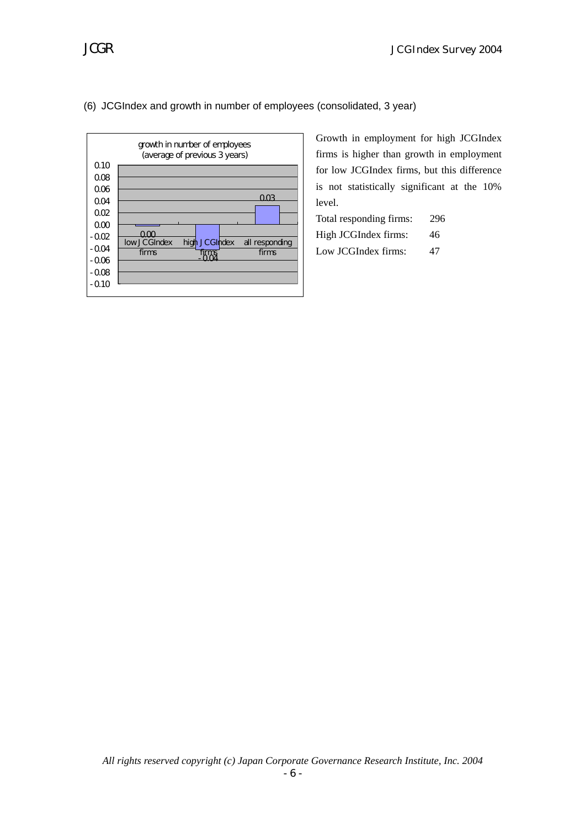



Growth in employment for high JCGIndex firms is higher than growth in employment for low JCGIndex firms, but this difference is not statistically significant at the 10% level.

| Total responding firms: | 296 |
|-------------------------|-----|
| High JCGIndex firms:    | 46  |
| Low JCGIndex firms:     | 47  |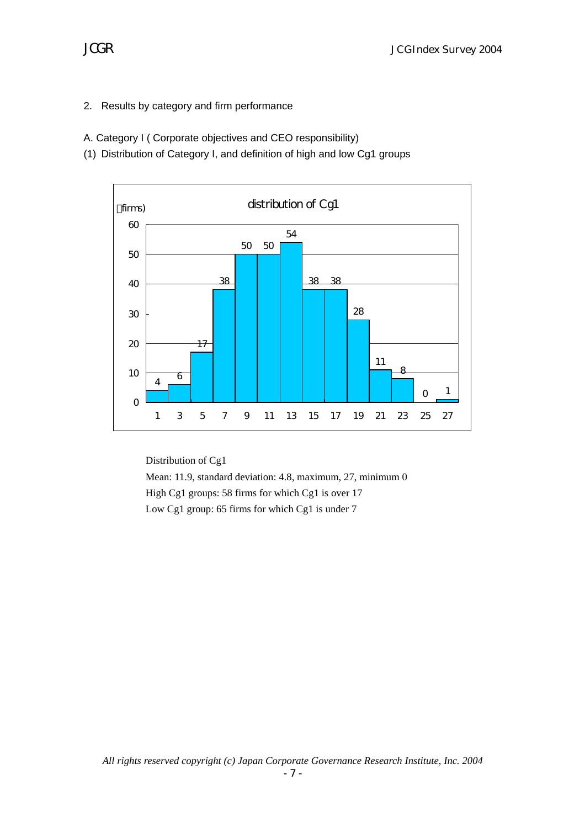2. Results by category and firm performance

A. Category I ( Corporate objectives and CEO responsibility)

(1) Distribution of Category I, and definition of high and low Cg1 groups



Distribution of Cg1 Mean: 11.9, standard deviation: 4.8, maximum, 27, minimum 0 High Cg1 groups: 58 firms for which Cg1 is over 17 Low Cg1 group: 65 firms for which Cg1 is under 7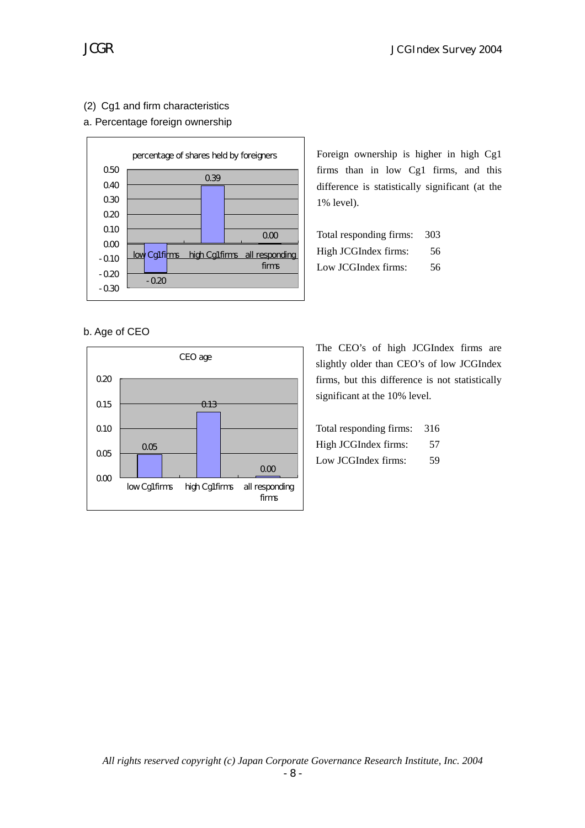# (2) Cg1 and firm characteristics

### a. Percentage foreign ownership



b. Age of CEO



Foreign ownership is higher in high Cg1 firms than in low Cg1 firms, and this difference is statistically significant (at the 1% level).

| Total responding firms: | 303 |
|-------------------------|-----|
| High JCGIndex firms:    | 56. |
| Low JCGIndex firms:     | 56  |

The CEO's of high JCGIndex firms are slightly older than CEO's of low JCGIndex firms, but this difference is not statistically significant at the 10% level.

| Total responding firms: | 316 |
|-------------------------|-----|
| High JCGIndex firms:    | 57  |
| Low JCGIndex firms:     | 59  |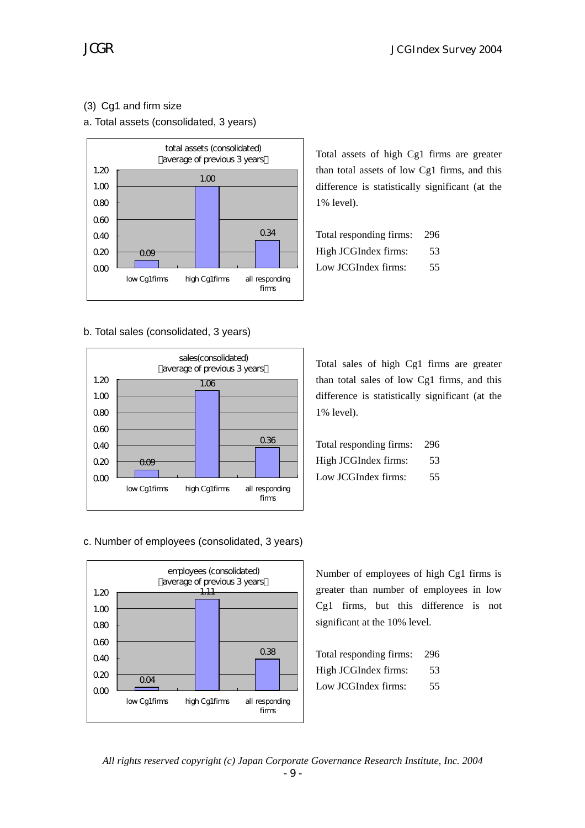# (3) Cg1 and firm size

#### a. Total assets (consolidated, 3 years)



b. Total sales (consolidated, 3 years)



Total assets of high Cg1 firms are greater than total assets of low Cg1 firms, and this difference is statistically significant (at the 1% level).

| Total responding firms: | 296 |
|-------------------------|-----|
| High JCGIndex firms:    | 53  |
| Low JCGIndex firms:     | 55  |

Total sales of high Cg1 firms are greater than total sales of low Cg1 firms, and this difference is statistically significant (at the 1% level).

| Total responding firms: 296 |     |
|-----------------------------|-----|
| High JCGIndex firms:        | 53  |
| Low JCGIndex firms:         | 55. |

c. Number of employees (consolidated, 3 years)



Number of employees of high Cg1 firms is greater than number of employees in low Cg1 firms, but this difference is not significant at the 10% level.

| Total responding firms: | 296 |
|-------------------------|-----|
| High JCGIndex firms:    | 53  |
| Low JCGIndex firms:     | 55  |

*All rights reserved copyright (c) Japan Corporate Governance Research Institute, Inc. 2004*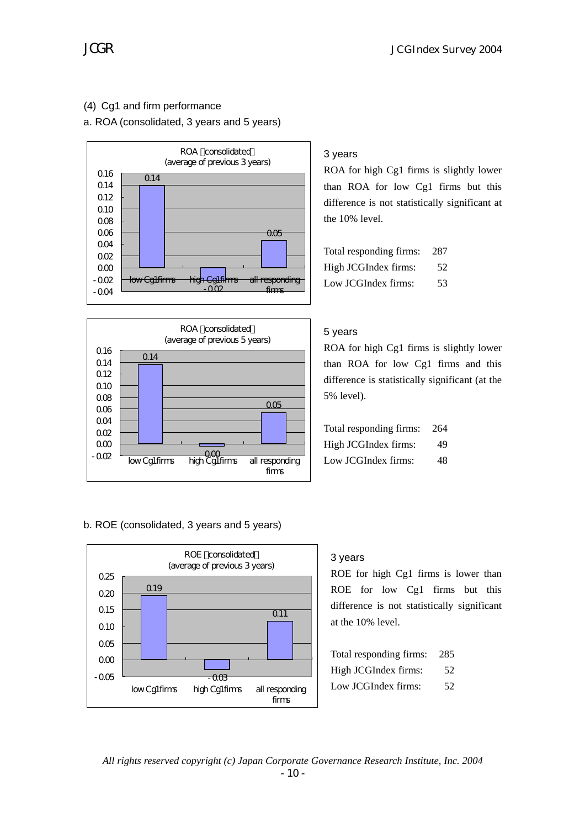# (4) Cg1 and firm performance

a. ROA (consolidated, 3 years and 5 years)





#### b. ROE (consolidated, 3 years and 5 years)



# 3 years

ROA for high Cg1 firms is slightly lower than ROA for low Cg1 firms but this difference is not statistically significant at the 10% level.

| Total responding firms: | 287 |
|-------------------------|-----|
| High JCGIndex firms:    | 52. |
| Low JCGIndex firms:     | 53  |

#### 5 years

ROA for high Cg1 firms is slightly lower than ROA for low Cg1 firms and this difference is statistically significant (at the 5% level).

| Total responding firms: | 264 |
|-------------------------|-----|
| High JCGIndex firms:    | 49  |
| Low JCGIndex firms:     | 48  |

#### 3 years

ROE for high Cg1 firms is lower than ROE for low Cg1 firms but this difference is not statistically significant at the 10% level.

| Total responding firms: | 285 |
|-------------------------|-----|
| High JCGIndex firms:    | 52. |
| Low JCGIndex firms:     | 52  |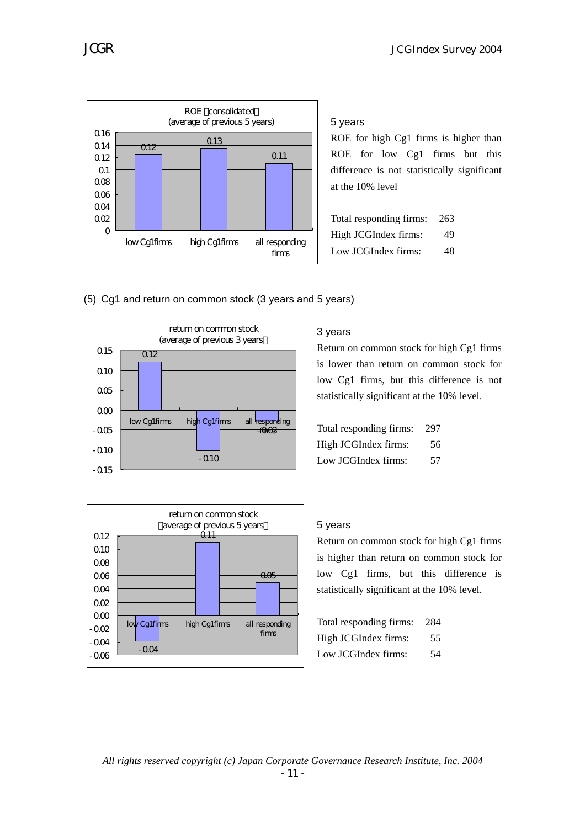

5 years

ROE for high Cg1 firms is higher than ROE for low Cg1 firms but this difference is not statistically significant at the 10% level

| Total responding firms: | 263 |
|-------------------------|-----|
| High JCGIndex firms:    | 49  |
| Low JCGIndex firms:     | 48  |

(5) Cg1 and return on common stock (3 years and 5 years)



#### average of previous 5 years  $-0.04$ 0.11  $\overline{a}$  $-0.06$  $-0.04$  $-0.02$  $0<sup>0</sup>$ 0.02  $0<sub>0</sub>$ 0.06 0.08 0.10 0.12 low Cg1firms high Cg1firms all responding firms

# 3 years

Return on common stock for high Cg1 firms is lower than return on common stock for low Cg1 firms, but this difference is not statistically significant at the 10% level.

| Total responding firms: | 297 |
|-------------------------|-----|
| High JCGIndex firms:    | 56  |
| Low JCGIndex firms:     | 57  |

# 5 years

Return on common stock for high Cg1 firms is higher than return on common stock for low Cg1 firms, but this difference is statistically significant at the 10% level.

| Total responding firms: | 284 |
|-------------------------|-----|
| High JCGIndex firms:    | 55  |
| Low JCGIndex firms:     | 54  |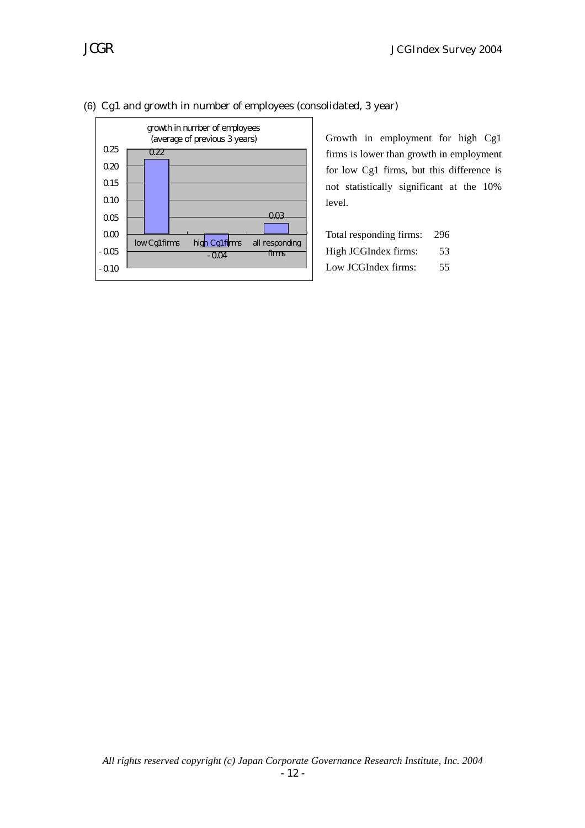



#### (6) Cg1 and growth in number of employees (consolidated, 3 year)

Growth in employment for high Cg1 firms is lower than growth in employment for low Cg1 firms, but this difference is not statistically significant at the 10% level.

| Total responding firms: | 296 |
|-------------------------|-----|
| High JCGIndex firms:    | 53  |
| Low JCGIndex firms:     | 55. |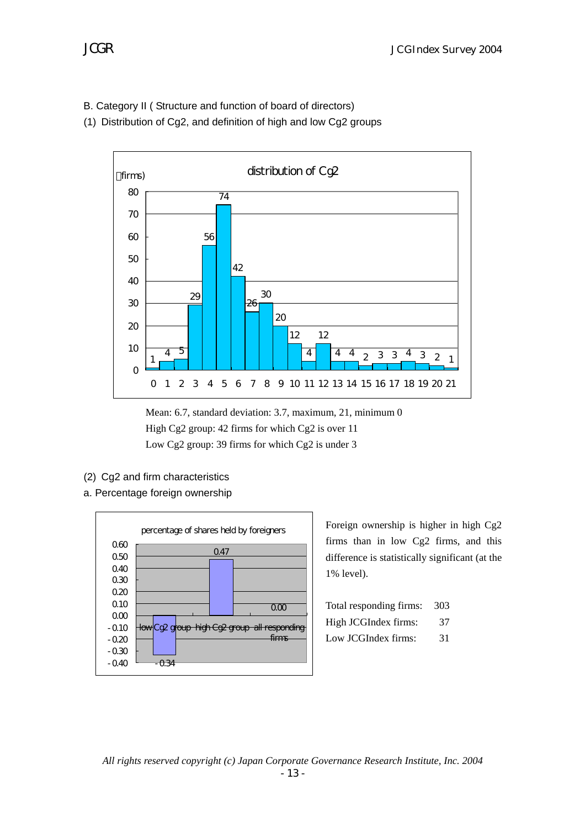B. Category II ( Structure and function of board of directors)

(1) Distribution of Cg2, and definition of high and low Cg2 groups



Mean: 6.7, standard deviation: 3.7, maximum, 21, minimum 0 High Cg2 group: 42 firms for which Cg2 is over 11 Low Cg2 group: 39 firms for which Cg2 is under 3

- (2) Cg2 and firm characteristics
- a. Percentage foreign ownership



Foreign ownership is higher in high Cg2 firms than in low Cg2 firms, and this difference is statistically significant (at the 1% level).

| Total responding firms: | 303 |
|-------------------------|-----|
| High JCGIndex firms:    | 37  |
| Low JCGIndex firms:     | 31  |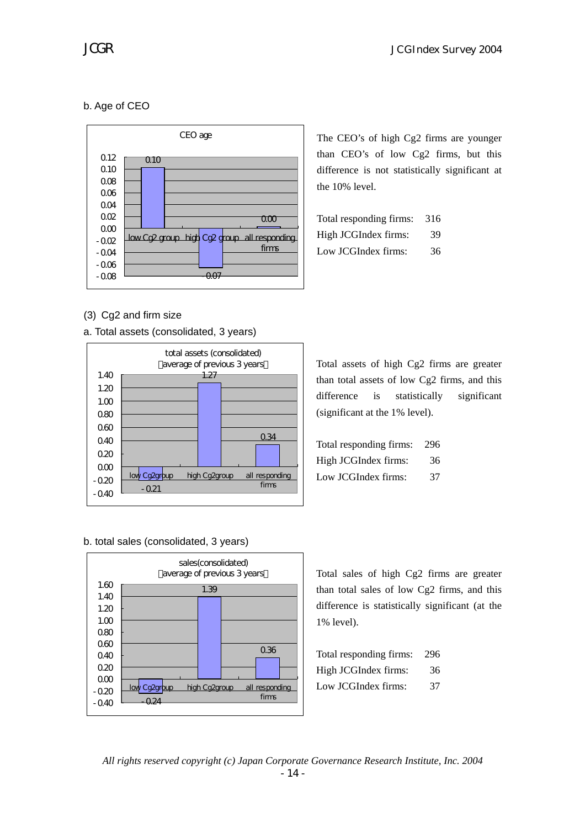# b. Age of CEO



The CEO's of high Cg2 firms are younger than CEO's of low Cg2 firms, but this difference is not statistically significant at the 10% level.

| Total responding firms: | 316 |
|-------------------------|-----|
| High JCGIndex firms:    | 39  |
| Low JCGIndex firms:     | 36. |

(3) Cg2 and firm size

a. Total assets (consolidated, 3 years)



than total assets of low Cg2 firms, and this difference is statistically significant (significant at the 1% level).

Total assets of high Cg2 firms are greater

| Total responding firms: | 296 |
|-------------------------|-----|
| High JCGIndex firms:    | 36  |
| Low JCGIndex firms:     | 37  |

#### b. total sales (consolidated, 3 years)



Total sales of high Cg2 firms are greater than total sales of low Cg2 firms, and this difference is statistically significant (at the 1% level).

| Total responding firms: | 296 |
|-------------------------|-----|
| High JCGIndex firms:    | 36  |
| Low JCGIndex firms:     | 37  |

*All rights reserved copyright (c) Japan Corporate Governance Research Institute, Inc. 2004*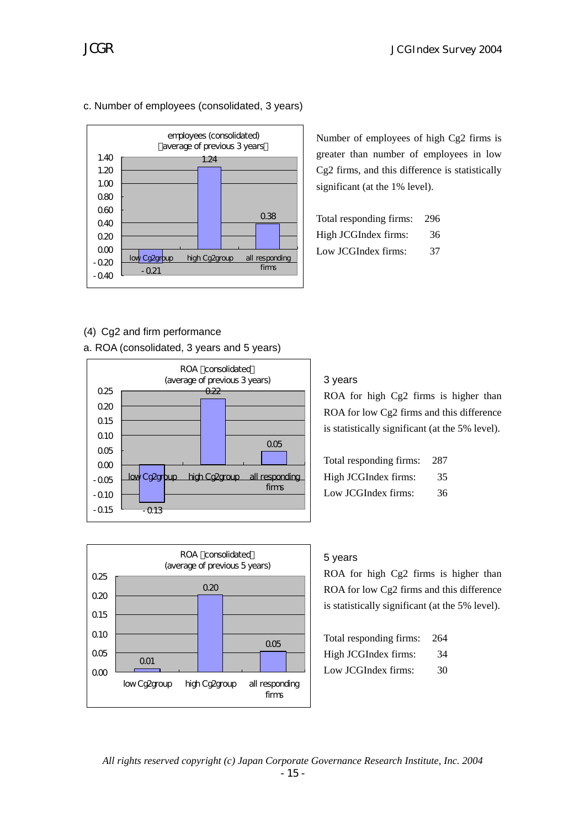### c. Number of employees (consolidated, 3 years)



Number of employees of high Cg2 firms is greater than number of employees in low Cg2 firms, and this difference is statistically significant (at the 1% level).

| Total responding firms: | 296 |
|-------------------------|-----|
| High JCGIndex firms:    | 36  |
| Low JCGIndex firms:     | 37  |

# (4) Cg2 and firm performance

a. ROA (consolidated, 3 years and 5 years)





### 3 years

ROA for high Cg2 firms is higher than ROA for low Cg2 firms and this difference is statistically significant (at the 5% level).

| Total responding firms: | 287 |
|-------------------------|-----|
| High JCGIndex firms:    | 35  |
| Low JCGIndex firms:     | 36  |

#### 5 years

ROA for high Cg2 firms is higher than ROA for low Cg2 firms and this difference is statistically significant (at the 5% level).

| Total responding firms: | 264 |
|-------------------------|-----|
| High JCGIndex firms:    | 34  |
| Low JCGIndex firms:     | 30  |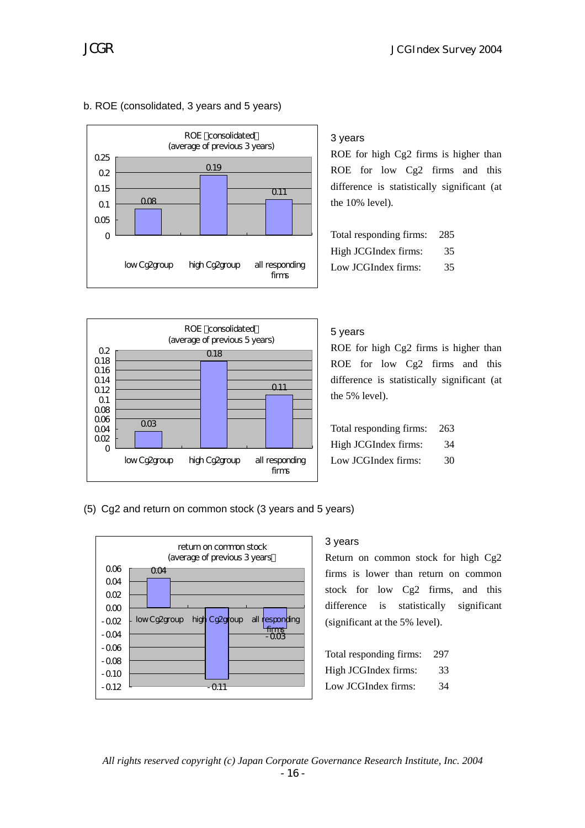

#### b. ROE (consolidated, 3 years and 5 years)

#### 3 years

ROE for high Cg2 firms is higher than ROE for low Cg2 firms and this difference is statistically significant (at the 10% level).

| Total responding firms: | 285 |
|-------------------------|-----|
| High JCGIndex firms:    | 35  |
| Low JCGIndex firms:     | 35  |



#### 5 years

ROE for high Cg2 firms is higher than ROE for low Cg2 firms and this difference is statistically significant (at the 5% level).

| Total responding firms: | 263 |
|-------------------------|-----|
| High JCGIndex firms:    | 34  |
| Low JCGIndex firms:     | 30  |

(5) Cg2 and return on common stock (3 years and 5 years)



#### 3 years

Return on common stock for high Cg2 firms is lower than return on common stock for low Cg2 firms, and this difference is statistically significant (significant at the 5% level).

| Total responding firms: | 297 |
|-------------------------|-----|
| High JCGIndex firms:    | 33  |
| Low JCGIndex firms:     | 34  |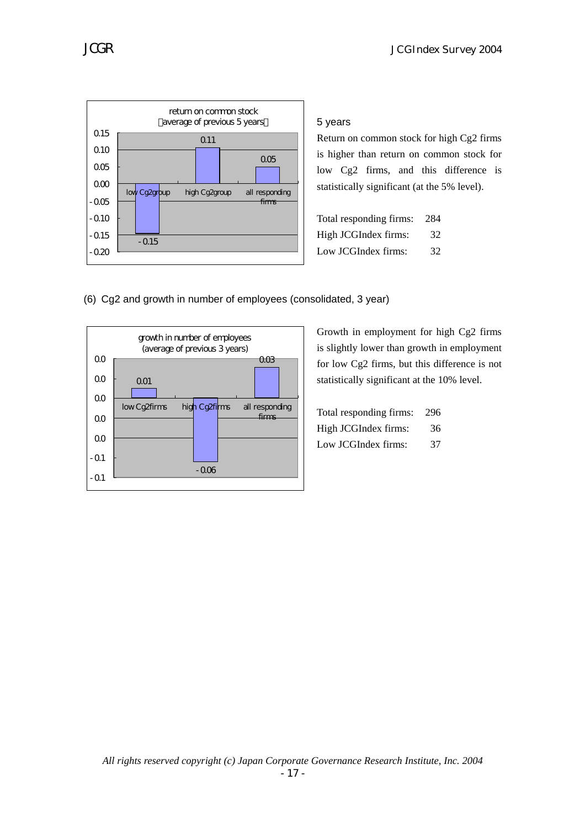

5 years

Return on common stock for high Cg2 firms is higher than return on common stock for low Cg2 firms, and this difference is statistically significant (at the 5% level).

| Total responding firms: | 284 |
|-------------------------|-----|
| High JCGIndex firms:    | 32  |
| Low JCGIndex firms:     | 32  |

# (6) Cg2 and growth in number of employees (consolidated, 3 year)



Growth in employment for high Cg2 firms is slightly lower than growth in employment for low Cg2 firms, but this difference is not statistically significant at the 10% level.

| Total responding firms: | 296 |
|-------------------------|-----|
| High JCGIndex firms:    | 36  |
| Low JCGIndex firms:     | 37  |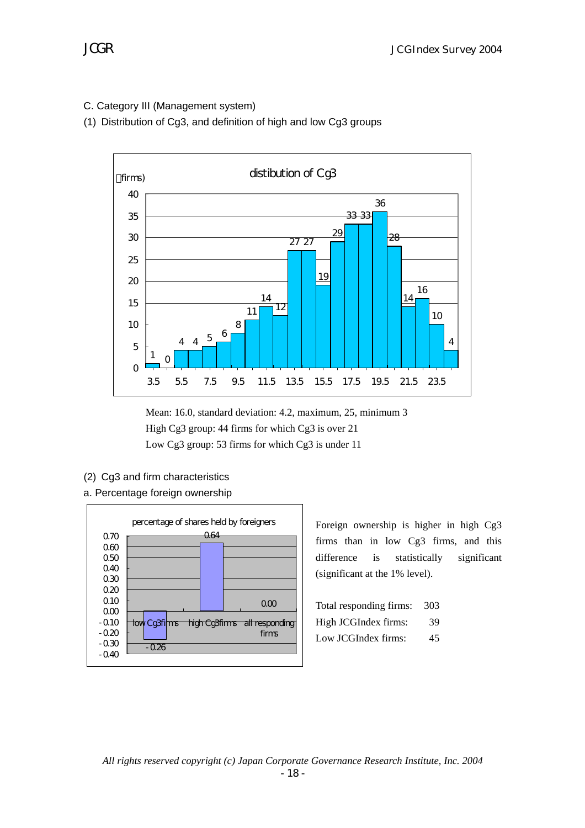C. Category III (Management system)

(1) Distribution of Cg3, and definition of high and low Cg3 groups



Mean: 16.0, standard deviation: 4.2, maximum, 25, minimum 3 High Cg3 group: 44 firms for which Cg3 is over 21 Low Cg3 group: 53 firms for which Cg3 is under 11

- (2) Cg3 and firm characteristics
- a. Percentage foreign ownership



Foreign ownership is higher in high Cg3 firms than in low Cg3 firms, and this difference is statistically significant (significant at the 1% level).

| Total responding firms: | 303 |
|-------------------------|-----|
| High JCGIndex firms:    | 39  |
| Low JCGIndex firms:     | 45  |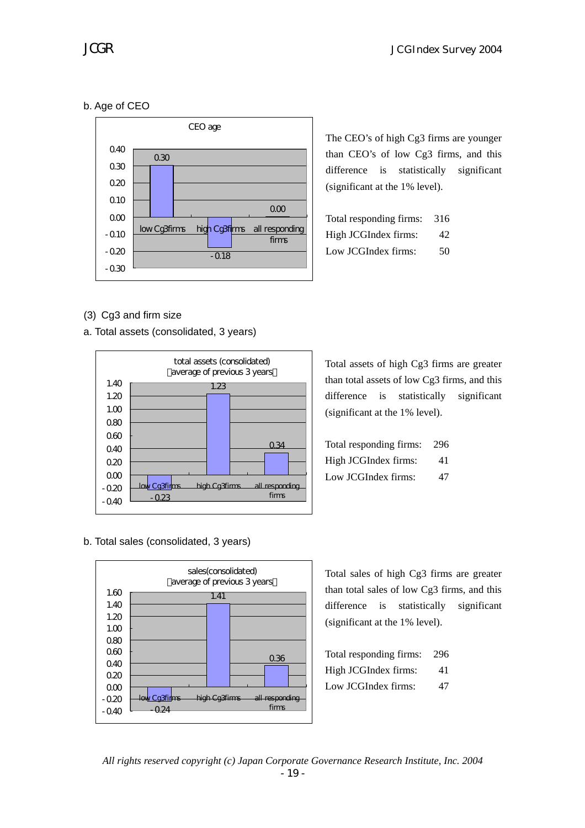# b. Age of CEO



The CEO's of high Cg3 firms are younger than CEO's of low Cg3 firms, and this difference is statistically significant (significant at the 1% level).

| Total responding firms: | 316 |
|-------------------------|-----|
| High JCGIndex firms:    | 42  |
| Low JCGIndex firms:     | 50  |

### (3) Cg3 and firm size

a. Total assets (consolidated, 3 years)



Total assets of high Cg3 firms are greater than total assets of low Cg3 firms, and this difference is statistically significant (significant at the 1% level).

| Total responding firms: | 296 |
|-------------------------|-----|
| High JCGIndex firms:    | 41  |
| Low JCGIndex firms:     | 47  |

b. Total sales (consolidated, 3 years)



Total sales of high Cg3 firms are greater than total sales of low Cg3 firms, and this difference is statistically significant (significant at the 1% level).

| Total responding firms: | 296 |
|-------------------------|-----|
| High JCGIndex firms:    | 41  |
| Low JCGIndex firms:     | 47  |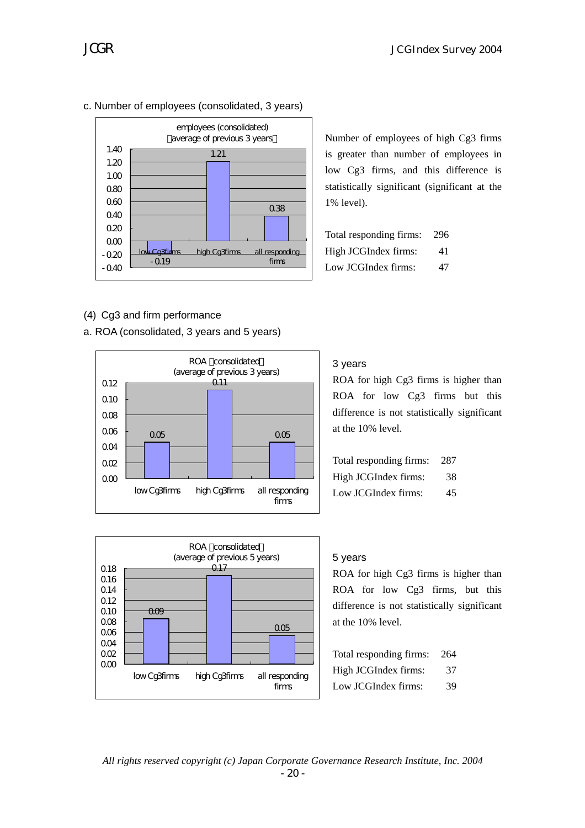c. Number of employees (consolidated, 3 years)



- (4) Cg3 and firm performance
- a. ROA (consolidated, 3 years and 5 years)



#### ROA consolidated (average of previous 5 years)  $0.09$ 0.17 0.05  $0<sup>0</sup>$ 0.02 0.04  $0<sub>0</sub>$ 0.08 0.10 0.12 0.14 0.16 0.18 low Cg3firms high Cg3firms all responding firms

Number of employees of high Cg3 firms is greater than number of employees in low Cg3 firms, and this difference is statistically significant (significant at the 1% level).

| Total responding firms: | 296 |
|-------------------------|-----|
| High JCGIndex firms:    | 41  |
| Low JCGIndex firms:     | 47  |

### 3 years

ROA for high Cg3 firms is higher than ROA for low Cg3 firms but this difference is not statistically significant at the 10% level.

| Total responding firms: | 287 |
|-------------------------|-----|
| High JCGIndex firms:    | 38  |
| Low JCGIndex firms:     | 45. |

#### 5 years

ROA for high Cg3 firms is higher than ROA for low Cg3 firms, but this difference is not statistically significant at the 10% level.

| Total responding firms: | 264 |
|-------------------------|-----|
| High JCGIndex firms:    | 37  |
| Low JCGIndex firms:     | 39  |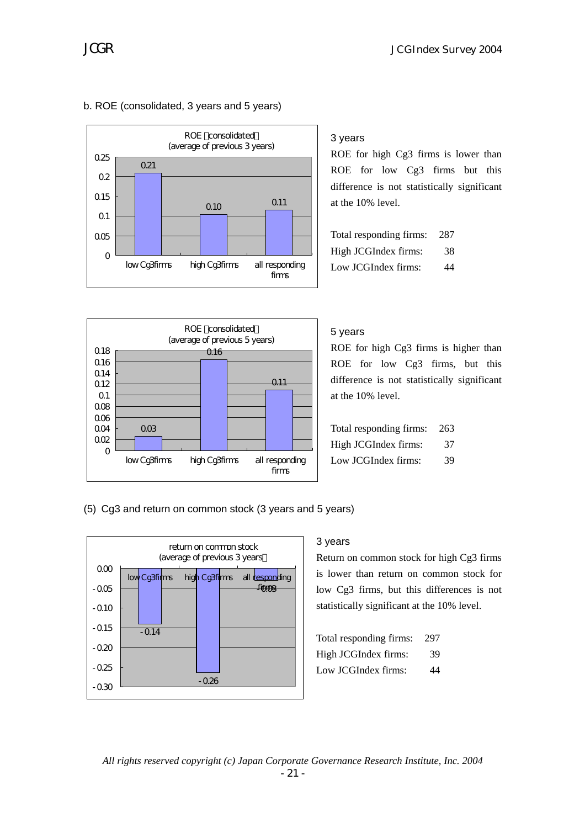

### b. ROE (consolidated, 3 years and 5 years)

#### 3 years

ROE for high Cg3 firms is lower than ROE for low Cg3 firms but this difference is not statistically significant at the 10% level.

| Total responding firms: | 287 |
|-------------------------|-----|
| High JCGIndex firms:    | 38  |
| Low JCGIndex firms:     | 44  |



#### 5 years

ROE for high Cg3 firms is higher than ROE for low Cg3 firms, but this difference is not statistically significant at the 10% level.

| Total responding firms: | -263 |
|-------------------------|------|
| High JCGIndex firms:    | 37   |
| Low JCGIndex firms:     | 39   |

(5) Cg3 and return on common stock (3 years and 5 years)



#### 3 years

Return on common stock for high Cg3 firms is lower than return on common stock for low Cg3 firms, but this differences is not statistically significant at the 10% level.

| Total responding firms: | 297 |
|-------------------------|-----|
| High JCGIndex firms:    | 39  |
| Low JCGIndex firms:     | 44  |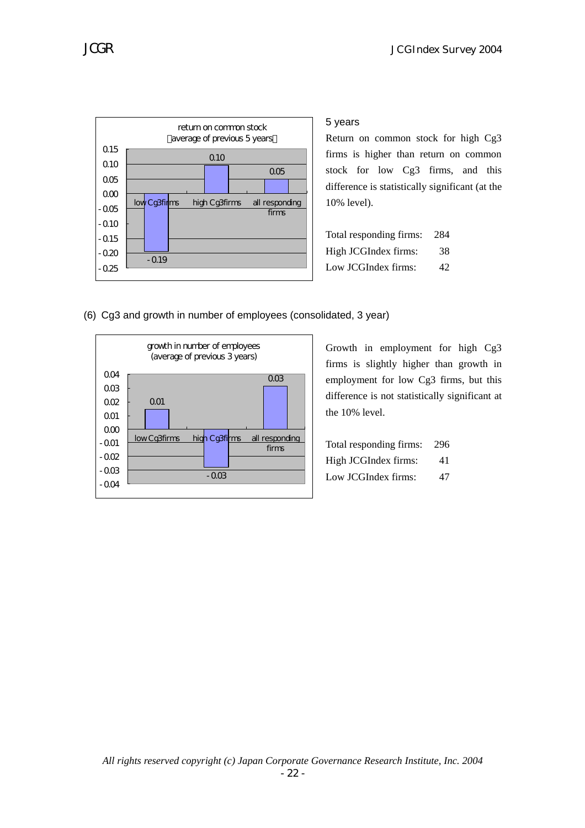

5 years

Return on common stock for high Cg3 firms is higher than return on common stock for low Cg3 firms, and this difference is statistically significant (at the 10% level).

| Total responding firms: | 284 |
|-------------------------|-----|
| High JCGIndex firms:    | 38  |
| Low JCGIndex firms:     | 42  |

(6) Cg3 and growth in number of employees (consolidated, 3 year)



Growth in employment for high Cg3 firms is slightly higher than growth in employment for low Cg3 firms, but this difference is not statistically significant at the 10% level.

| Total responding firms: | -296 |
|-------------------------|------|
| High JCGIndex firms:    | 41   |
| Low JCGIndex firms:     | 47   |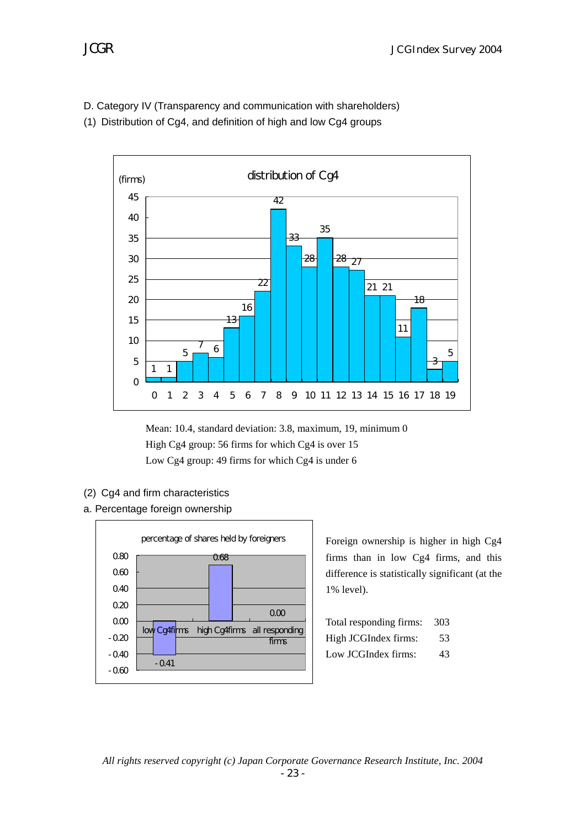- D. Category IV (Transparency and communication with shareholders)
- (1) Distribution of Cg4, and definition of high and low Cg4 groups



Mean: 10.4, standard deviation: 3.8, maximum, 19, minimum 0 High Cg4 group: 56 firms for which Cg4 is over 15 Low Cg4 group: 49 firms for which Cg4 is under 6

- (2) Cg4 and firm characteristics
- a. Percentage foreign ownership



Foreign ownership is higher in high Cg4 firms than in low Cg4 firms, and this difference is statistically significant (at the 1% level).

| Total responding firms: | 303 |
|-------------------------|-----|
| High JCGIndex firms:    | 53  |
| Low JCGIndex firms:     | 43  |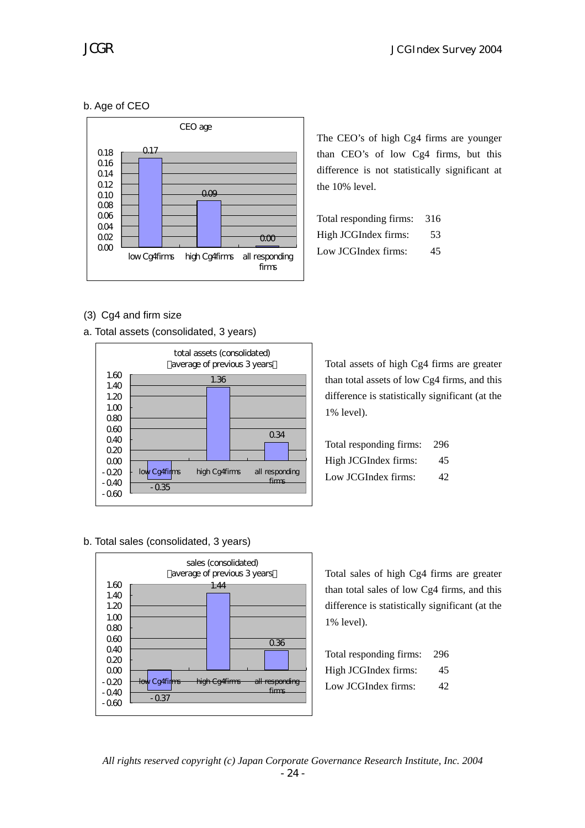# b. Age of CEO



The CEO's of high Cg4 firms are younger than CEO's of low Cg4 firms, but this difference is not statistically significant at the 10% level.

| Total responding firms: | 316 |
|-------------------------|-----|
| High JCGIndex firms:    | 53  |
| Low JCGIndex firms:     | 45  |

# (3) Cg4 and firm size

a. Total assets (consolidated, 3 years)



Total assets of high Cg4 firms are greater than total assets of low Cg4 firms, and this difference is statistically significant (at the 1% level).

| Total responding firms: | -296 |
|-------------------------|------|
| High JCGIndex firms:    | 45.  |
| Low JCGIndex firms:     | 42.  |

#### b. Total sales (consolidated, 3 years)



Total sales of high Cg4 firms are greater than total sales of low Cg4 firms, and this difference is statistically significant (at the 1% level).

| Total responding firms: | 296 |
|-------------------------|-----|
| High JCGIndex firms:    | 45  |
| Low JCGIndex firms:     | 42  |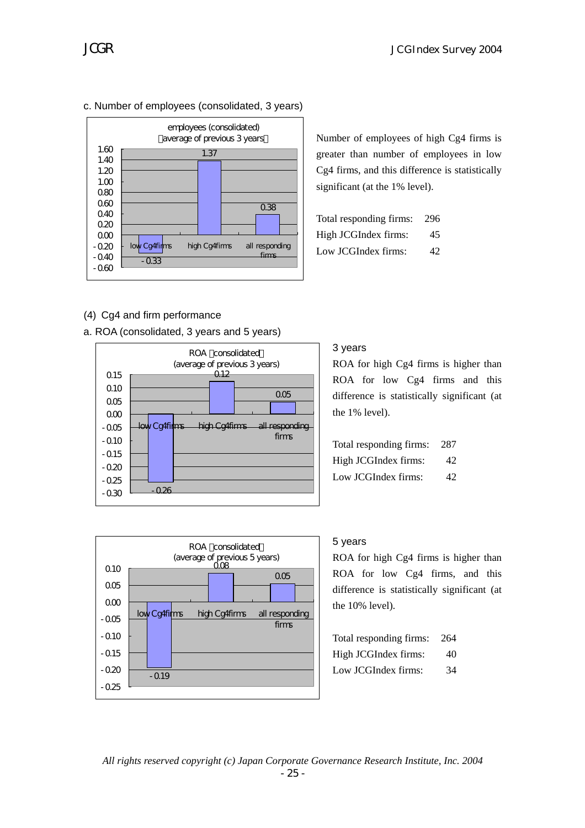

Number of employees of high Cg4 firms is greater than number of employees in low Cg4 firms, and this difference is statistically

| Total responding firms: | 296 |
|-------------------------|-----|
| High JCGIndex firms:    | 45  |
| Low JCGIndex firms:     | 42  |

significant (at the 1% level).

### (4) Cg4 and firm performance

a. ROA (consolidated, 3 years and 5 years)



# 3 years

ROA for high Cg4 firms is higher than ROA for low Cg4 firms and this difference is statistically significant (at the 1% level).

| Total responding firms: | -287 |
|-------------------------|------|
| High JCGIndex firms:    | 42   |
| Low JCGIndex firms:     | 42.  |



#### 5 years

ROA for high Cg4 firms is higher than ROA for low Cg4 firms, and this difference is statistically significant (at the 10% level).

| Total responding firms: | 264 |
|-------------------------|-----|
| High JCGIndex firms:    | 40  |
| Low JCGIndex firms:     | 34  |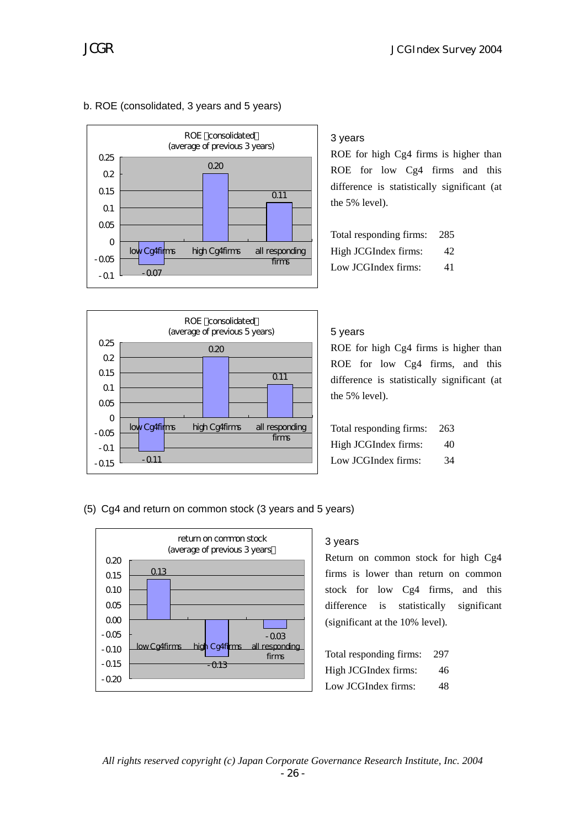

#### b. ROE (consolidated, 3 years and 5 years)

# 3 years

ROE for high Cg4 firms is higher than ROE for low Cg4 firms and this difference is statistically significant (at the 5% level).

| Total responding firms: | 285 |
|-------------------------|-----|
| High JCGIndex firms:    | 42  |
| Low JCGIndex firms:     | 41  |

#### ROE consolidated (average of previous 5 years) -0.11 0.20  $\overline{011}$  $-0.15$  $-0.1$  $-0.05$ 0 0.05 0.1 015 0.2 0.25 low Cg4firms high Cg4firms all responding firms

### 5 years

ROE for high Cg4 firms is higher than ROE for low Cg4 firms, and this difference is statistically significant (at the 5% level).

Total responding firms: 263 High JCGIndex firms: 40 Low JCGIndex firms: 34

#### (5) Cg4 and return on common stock (3 years and 5 years)



#### 3 years

Return on common stock for high Cg4 firms is lower than return on common stock for low Cg4 firms, and this difference is statistically significant (significant at the 10% level).

| Total responding firms: | 297 |
|-------------------------|-----|
| High JCGIndex firms:    | 46  |
| Low JCGIndex firms:     | 48  |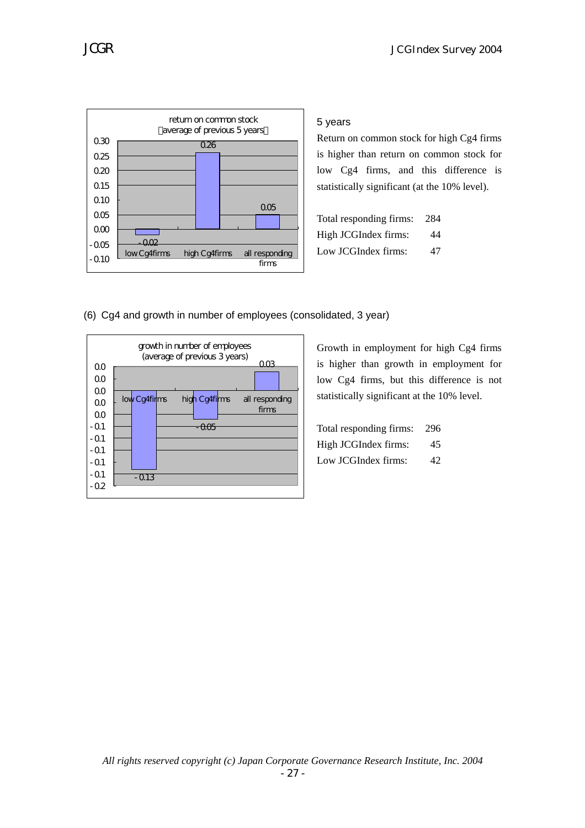

5 years

Return on common stock for high Cg4 firms is higher than return on common stock for low Cg4 firms, and this difference is statistically significant (at the 10% level).

| Total responding firms: | 284 |
|-------------------------|-----|
| High JCGIndex firms:    | 44  |
| Low JCGIndex firms:     | 47  |

(6) Cg4 and growth in number of employees (consolidated, 3 year)



Growth in employment for high Cg4 firms is higher than growth in employment for low Cg4 firms, but this difference is not statistically significant at the 10% level.

| Total responding firms: | 296             |
|-------------------------|-----------------|
| High JCGIndex firms:    | 45              |
| Low JCGIndex firms:     | 42 <sub>1</sub> |